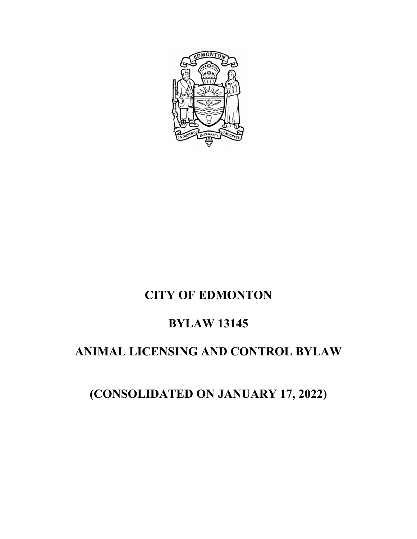

# **CITY OF EDMONTON**

# **BYLAW 13145**

# **ANIMAL LICENSING AND CONTROL BYLAW**

# **(CONSOLIDATED ON JANUARY 17, 2022)**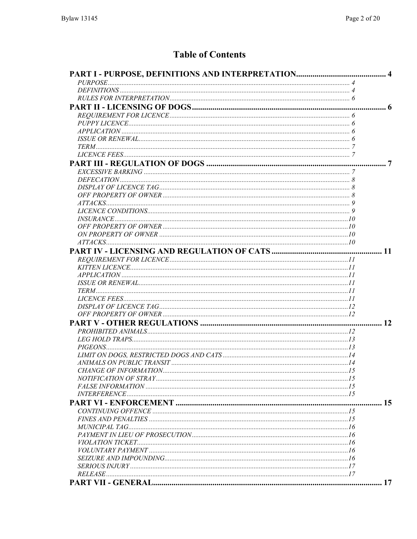## **Table of Contents**

| 15 |  |
|----|--|
|    |  |
|    |  |
|    |  |
|    |  |
|    |  |
|    |  |
|    |  |
|    |  |
|    |  |
|    |  |
|    |  |
|    |  |
|    |  |
|    |  |
|    |  |
|    |  |
|    |  |
|    |  |
|    |  |
|    |  |
|    |  |
|    |  |
|    |  |
|    |  |
|    |  |
|    |  |
|    |  |
|    |  |
|    |  |
|    |  |
|    |  |
|    |  |
|    |  |
|    |  |
|    |  |
|    |  |
|    |  |
|    |  |
|    |  |
|    |  |
|    |  |
|    |  |
|    |  |
|    |  |
|    |  |
|    |  |
|    |  |
|    |  |
|    |  |
|    |  |
|    |  |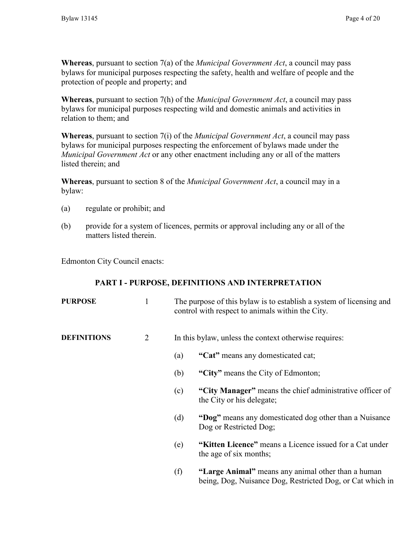**Whereas**, pursuant to section 7(a) of the *Municipal Government Act*, a council may pass bylaws for municipal purposes respecting the safety, health and welfare of people and the protection of people and property; and

**Whereas**, pursuant to section 7(h) of the *Municipal Government Act*, a council may pass bylaws for municipal purposes respecting wild and domestic animals and activities in relation to them; and

**Whereas**, pursuant to section 7(i) of the *Municipal Government Act*, a council may pass bylaws for municipal purposes respecting the enforcement of bylaws made under the *Municipal Government Act* or any other enactment including any or all of the matters listed therein; and

**Whereas**, pursuant to section 8 of the *Municipal Government Act*, a council may in a bylaw:

- (a) regulate or prohibit; and
- (b) provide for a system of licences, permits or approval including any or all of the matters listed therein.

Edmonton City Council enacts:

### **PART I - PURPOSE, DEFINITIONS AND INTERPRETATION**

| <b>PURPOSE</b>     | 1 |     | The purpose of this bylaw is to establish a system of licensing and<br>control with respect to animals within the City. |
|--------------------|---|-----|-------------------------------------------------------------------------------------------------------------------------|
| <b>DEFINITIONS</b> | 2 |     | In this bylaw, unless the context otherwise requires:                                                                   |
|                    |   | (a) | "Cat" means any domesticated cat;                                                                                       |
|                    |   | (b) | "City" means the City of Edmonton;                                                                                      |
|                    |   | (c) | "City Manager" means the chief administrative officer of<br>the City or his delegate;                                   |
|                    |   | (d) | "Dog" means any domesticated dog other than a Nuisance<br>Dog or Restricted Dog;                                        |
|                    |   | (e) | "Kitten Licence" means a Licence issued for a Cat under<br>the age of six months;                                       |
|                    |   | (f) | "Large Animal" means any animal other than a human<br>being, Dog, Nuisance Dog, Restricted Dog, or Cat which in         |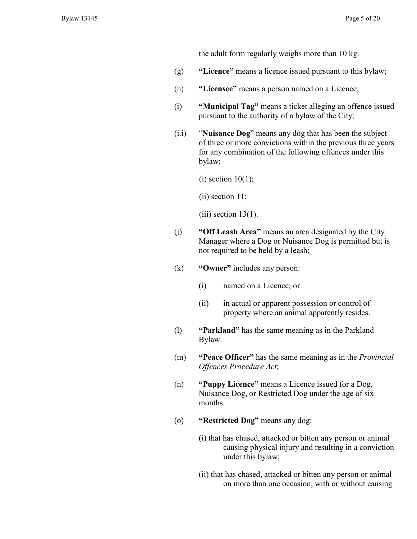the adult form regularly weighs more than 10 kg.

- (g) **"Licence"** means a licence issued pursuant to this bylaw;
- (h) **"Licensee"** means a person named on a Licence;
- (i) **"Municipal Tag"** means a ticket alleging an offence issued pursuant to the authority of a bylaw of the City;
- (i.i) "**Nuisance Dog**" means any dog that has been the subject of three or more convictions within the previous three years for any combination of the following offences under this bylaw:

 $(i)$  section 10(1);

(ii) section 11;

 $(iii)$  section 13(1).

- (j) **"Off Leash Area"** means an area designated by the City Manager where a Dog or Nuisance Dog is permitted but is not required to be held by a leash;
- (k) **"Owner"** includes any person:
	- (i) named on a Licence; or
	- (ii) in actual or apparent possession or control of property where an animal apparently resides.
- (l) **"Parkland"** has the same meaning as in the Parkland Bylaw.
- (m) **"Peace Officer"** has the same meaning as in the *Provincial Offences Procedure Act*;
- (n) **"Puppy Licence"** means a Licence issued for a Dog, Nuisance Dog, or Restricted Dog under the age of six months.
- (o) **"Restricted Dog"** means any dog:
	- (i) that has chased, attacked or bitten any person or animal causing physical injury and resulting in a conviction under this bylaw;
	- (ii) that has chased, attacked or bitten any person or animal on more than one occasion, with or without causing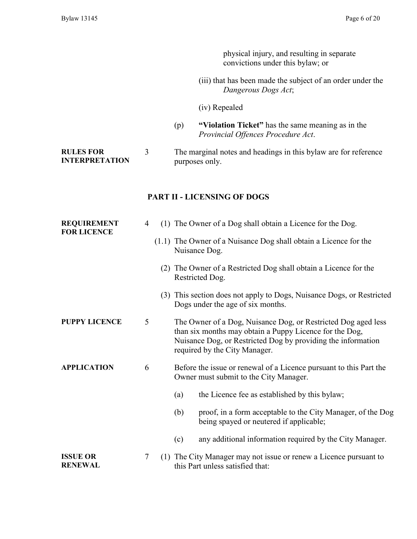physical injury, and resulting in separate convictions under this bylaw; or

- (iii) that has been made the subject of an order under the *Dangerous Dogs Act*;
- (iv) Repealed
- (p) **"Violation Ticket"** has the same meaning as in the *Provincial Offences Procedure Act*.

**RULES FOR INTERPRETATION** 3 The marginal notes and headings in this bylaw are for reference purposes only.

### **PART II - LICENSING OF DOGS**

| <b>REQUIREMENT</b><br><b>FOR LICENCE</b> | 4 | (1) The Owner of a Dog shall obtain a Licence for the Dog.                                                                                                                                                                |
|------------------------------------------|---|---------------------------------------------------------------------------------------------------------------------------------------------------------------------------------------------------------------------------|
|                                          |   | (1.1) The Owner of a Nuisance Dog shall obtain a Licence for the<br>Nuisance Dog.                                                                                                                                         |
|                                          |   | (2) The Owner of a Restricted Dog shall obtain a Licence for the<br>Restricted Dog.                                                                                                                                       |
|                                          |   | (3) This section does not apply to Dogs, Nuisance Dogs, or Restricted<br>Dogs under the age of six months.                                                                                                                |
| <b>PUPPY LICENCE</b>                     | 5 | The Owner of a Dog, Nuisance Dog, or Restricted Dog aged less<br>than six months may obtain a Puppy Licence for the Dog,<br>Nuisance Dog, or Restricted Dog by providing the information<br>required by the City Manager. |
| <b>APPLICATION</b>                       | 6 | Before the issue or renewal of a Licence pursuant to this Part the<br>Owner must submit to the City Manager.                                                                                                              |
|                                          |   | the Licence fee as established by this bylaw;<br>(a)                                                                                                                                                                      |
|                                          |   | proof, in a form acceptable to the City Manager, of the Dog<br>(b)<br>being spayed or neutered if applicable;                                                                                                             |
|                                          |   | any additional information required by the City Manager.<br>(c)                                                                                                                                                           |
| <b>ISSUE OR</b><br><b>RENEWAL</b>        | 7 | (1) The City Manager may not issue or renew a Licence pursuant to<br>this Part unless satisfied that:                                                                                                                     |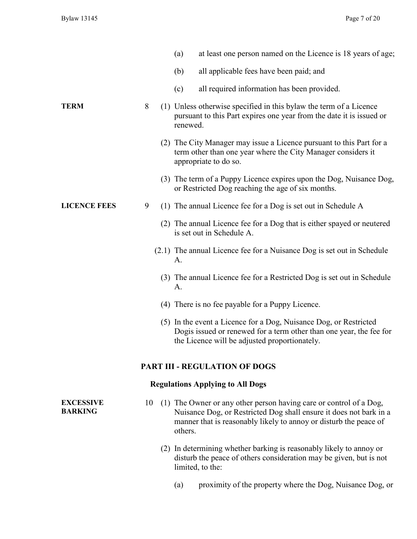|                                    |    | at least one person named on the Licence is 18 years of age;<br>(a)                                                                                                                                                      |
|------------------------------------|----|--------------------------------------------------------------------------------------------------------------------------------------------------------------------------------------------------------------------------|
|                                    |    | (b)<br>all applicable fees have been paid; and                                                                                                                                                                           |
|                                    |    | all required information has been provided.<br>(c)                                                                                                                                                                       |
| <b>TERM</b>                        | 8  | (1) Unless otherwise specified in this bylaw the term of a Licence<br>pursuant to this Part expires one year from the date it is issued or<br>renewed.                                                                   |
|                                    |    | (2) The City Manager may issue a Licence pursuant to this Part for a<br>term other than one year where the City Manager considers it<br>appropriate to do so.                                                            |
|                                    |    | (3) The term of a Puppy Licence expires upon the Dog, Nuisance Dog,<br>or Restricted Dog reaching the age of six months.                                                                                                 |
| <b>LICENCE FEES</b>                | 9  | (1) The annual Licence fee for a Dog is set out in Schedule A                                                                                                                                                            |
|                                    |    | (2) The annual Licence fee for a Dog that is either spayed or neutered<br>is set out in Schedule A.                                                                                                                      |
|                                    |    | (2.1) The annual Licence fee for a Nuisance Dog is set out in Schedule<br>А.                                                                                                                                             |
|                                    |    | (3) The annual Licence fee for a Restricted Dog is set out in Schedule<br>A.                                                                                                                                             |
|                                    |    | (4) There is no fee payable for a Puppy Licence.                                                                                                                                                                         |
|                                    |    | (5) In the event a Licence for a Dog, Nuisance Dog, or Restricted<br>Dogis issued or renewed for a term other than one year, the fee for<br>the Licence will be adjusted proportionately.                                |
|                                    |    | <b>PART III - REGULATION OF DOGS</b>                                                                                                                                                                                     |
|                                    |    | <b>Regulations Applying to All Dogs</b>                                                                                                                                                                                  |
| <b>EXCESSIVE</b><br><b>BARKING</b> | 10 | (1) The Owner or any other person having care or control of a Dog,<br>Nuisance Dog, or Restricted Dog shall ensure it does not bark in a<br>manner that is reasonably likely to annoy or disturb the peace of<br>others. |
|                                    |    | (2) In determining whether barking is reasonably likely to annoy or<br>disturb the peace of others consideration may be given, but is not<br>limited, to the:                                                            |

(a) proximity of the property where the Dog, Nuisance Dog, or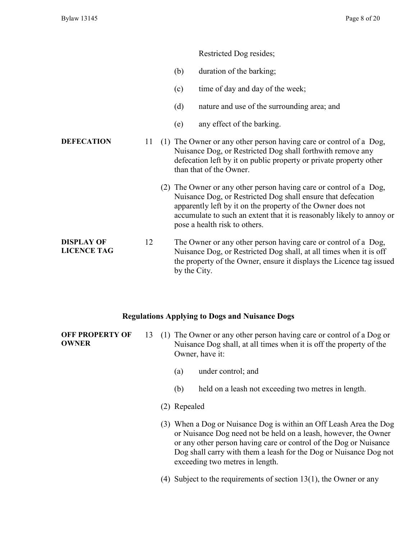#### Restricted Dog resides;

- (b) duration of the barking;
- (c) time of day and day of the week;
- (d) nature and use of the surrounding area; and
- (e) any effect of the barking.
- **DEFECATION** 11 (1) The Owner or any other person having care or control of a Dog, Nuisance Dog, or Restricted Dog shall forthwith remove any defecation left by it on public property or private property other than that of the Owner.
	- (2) The Owner or any other person having care or control of a Dog, Nuisance Dog, or Restricted Dog shall ensure that defecation apparently left by it on the property of the Owner does not accumulate to such an extent that it is reasonably likely to annoy or pose a health risk to others.
- **DISPLAY OF LICENCE TAG** 12 The Owner or any other person having care or control of a Dog, Nuisance Dog, or Restricted Dog shall, at all times when it is off the property of the Owner, ensure it displays the Licence tag issued by the City.

#### **Regulations Applying to Dogs and Nuisance Dogs**

**OFF PROPERTY OF OWNER** 13 (1) The Owner or any other person having care or control of a Dog or Nuisance Dog shall, at all times when it is off the property of the Owner, have it:

- (a) under control; and
- (b) held on a leash not exceeding two metres in length.
- (2) Repealed
- (3) When a Dog or Nuisance Dog is within an Off Leash Area the Dog or Nuisance Dog need not be held on a leash, however, the Owner or any other person having care or control of the Dog or Nuisance Dog shall carry with them a leash for the Dog or Nuisance Dog not exceeding two metres in length.
- (4) Subject to the requirements of section 13(1), the Owner or any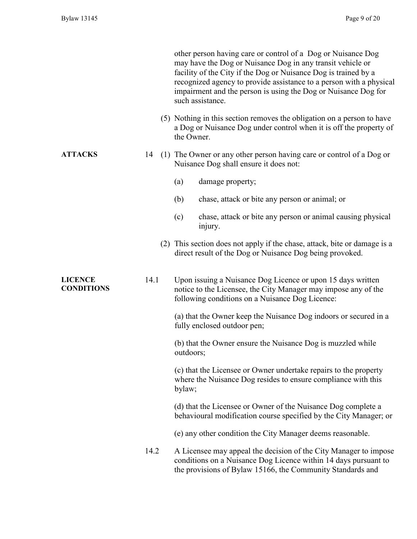|                                     |      | other person having care or control of a Dog or Nuisance Dog<br>may have the Dog or Nuisance Dog in any transit vehicle or<br>facility of the City if the Dog or Nuisance Dog is trained by a<br>recognized agency to provide assistance to a person with a physical<br>impairment and the person is using the Dog or Nuisance Dog for<br>such assistance. |
|-------------------------------------|------|------------------------------------------------------------------------------------------------------------------------------------------------------------------------------------------------------------------------------------------------------------------------------------------------------------------------------------------------------------|
|                                     |      | (5) Nothing in this section removes the obligation on a person to have<br>a Dog or Nuisance Dog under control when it is off the property of<br>the Owner.                                                                                                                                                                                                 |
| <b>ATTACKS</b>                      | 14   | (1) The Owner or any other person having care or control of a Dog or<br>Nuisance Dog shall ensure it does not:                                                                                                                                                                                                                                             |
|                                     |      | (a)<br>damage property;                                                                                                                                                                                                                                                                                                                                    |
|                                     |      | (b)<br>chase, attack or bite any person or animal; or                                                                                                                                                                                                                                                                                                      |
|                                     |      | chase, attack or bite any person or animal causing physical<br>(c)<br>injury.                                                                                                                                                                                                                                                                              |
|                                     |      | (2) This section does not apply if the chase, attack, bite or damage is a<br>direct result of the Dog or Nuisance Dog being provoked.                                                                                                                                                                                                                      |
| <b>LICENCE</b><br><b>CONDITIONS</b> | 14.1 | Upon issuing a Nuisance Dog Licence or upon 15 days written<br>notice to the Licensee, the City Manager may impose any of the<br>following conditions on a Nuisance Dog Licence:                                                                                                                                                                           |
|                                     |      | (a) that the Owner keep the Nuisance Dog indoors or secured in a<br>fully enclosed outdoor pen;                                                                                                                                                                                                                                                            |
|                                     |      | (b) that the Owner ensure the Nuisance Dog is muzzled while<br>outdoors;                                                                                                                                                                                                                                                                                   |
|                                     |      | (c) that the Licensee or Owner undertake repairs to the property<br>where the Nuisance Dog resides to ensure compliance with this<br>bylaw;                                                                                                                                                                                                                |
|                                     |      | (d) that the Licensee or Owner of the Nuisance Dog complete a<br>behavioural modification course specified by the City Manager; or                                                                                                                                                                                                                         |
|                                     |      | (e) any other condition the City Manager deems reasonable.                                                                                                                                                                                                                                                                                                 |
|                                     | 14.2 | A Licensee may appeal the decision of the City Manager to impose<br>conditions on a Nuisance Dog Licence within 14 days pursuant to<br>the provisions of Bylaw 15166, the Community Standards and                                                                                                                                                          |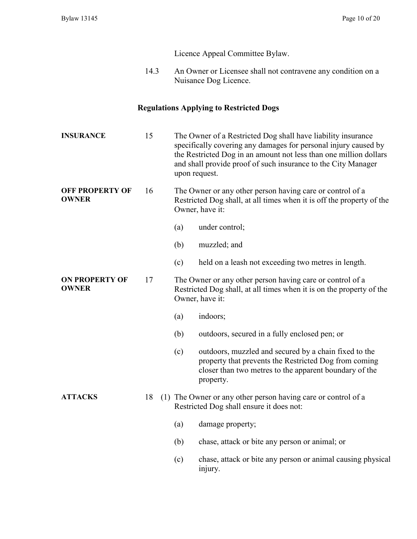Licence Appeal Committee Bylaw.

14.3 An Owner or Licensee shall not contravene any condition on a Nuisance Dog Licence.

## **Regulations Applying to Restricted Dogs**

| <b>INSURANCE</b>                       | 15 |     | The Owner of a Restricted Dog shall have liability insurance<br>specifically covering any damages for personal injury caused by<br>the Restricted Dog in an amount not less than one million dollars<br>and shall provide proof of such insurance to the City Manager<br>upon request. |
|----------------------------------------|----|-----|----------------------------------------------------------------------------------------------------------------------------------------------------------------------------------------------------------------------------------------------------------------------------------------|
| <b>OFF PROPERTY OF</b><br><b>OWNER</b> | 16 |     | The Owner or any other person having care or control of a<br>Restricted Dog shall, at all times when it is off the property of the<br>Owner, have it:                                                                                                                                  |
|                                        |    | (a) | under control;                                                                                                                                                                                                                                                                         |
|                                        |    | (b) | muzzled; and                                                                                                                                                                                                                                                                           |
|                                        |    | (c) | held on a leash not exceeding two metres in length.                                                                                                                                                                                                                                    |
| <b>ON PROPERTY OF</b><br><b>OWNER</b>  | 17 |     | The Owner or any other person having care or control of a<br>Restricted Dog shall, at all times when it is on the property of the<br>Owner, have it:                                                                                                                                   |
|                                        |    | (a) | indoors;                                                                                                                                                                                                                                                                               |
|                                        |    | (b) | outdoors, secured in a fully enclosed pen; or                                                                                                                                                                                                                                          |
|                                        |    | (c) | outdoors, muzzled and secured by a chain fixed to the<br>property that prevents the Restricted Dog from coming<br>closer than two metres to the apparent boundary of the<br>property.                                                                                                  |
| <b>ATTACKS</b>                         | 18 |     | (1) The Owner or any other person having care or control of a<br>Restricted Dog shall ensure it does not:                                                                                                                                                                              |
|                                        |    | (a) | damage property;                                                                                                                                                                                                                                                                       |
|                                        |    | (b) | chase, attack or bite any person or animal; or                                                                                                                                                                                                                                         |
|                                        |    | (c) | chase, attack or bite any person or animal causing physical<br>injury.                                                                                                                                                                                                                 |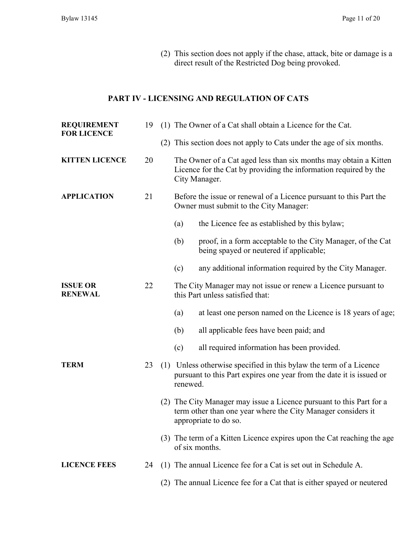(2) This section does not apply if the chase, attack, bite or damage is a direct result of the Restricted Dog being provoked.

### **PART IV - LICENSING AND REGULATION OF CATS**

| <b>REQUIREMENT</b><br><b>FOR LICENCE</b> | 19 |          | (1) The Owner of a Cat shall obtain a Licence for the Cat.                                                                                                    |
|------------------------------------------|----|----------|---------------------------------------------------------------------------------------------------------------------------------------------------------------|
|                                          |    |          | (2) This section does not apply to Cats under the age of six months.                                                                                          |
| <b>KITTEN LICENCE</b>                    | 20 |          | The Owner of a Cat aged less than six months may obtain a Kitten<br>Licence for the Cat by providing the information required by the<br>City Manager.         |
| <b>APPLICATION</b>                       | 21 |          | Before the issue or renewal of a Licence pursuant to this Part the<br>Owner must submit to the City Manager:                                                  |
|                                          |    | (a)      | the Licence fee as established by this bylaw;                                                                                                                 |
|                                          |    | (b)      | proof, in a form acceptable to the City Manager, of the Cat<br>being spayed or neutered if applicable;                                                        |
|                                          |    | (c)      | any additional information required by the City Manager.                                                                                                      |
| <b>ISSUE OR</b><br><b>RENEWAL</b>        | 22 |          | The City Manager may not issue or renew a Licence pursuant to<br>this Part unless satisfied that:                                                             |
|                                          |    | (a)      | at least one person named on the Licence is 18 years of age;                                                                                                  |
|                                          |    | (b)      | all applicable fees have been paid; and                                                                                                                       |
|                                          |    | (c)      | all required information has been provided.                                                                                                                   |
| <b>TERM</b>                              | 23 | renewed. | (1) Unless otherwise specified in this bylaw the term of a Licence<br>pursuant to this Part expires one year from the date it is issued or                    |
|                                          |    |          | (2) The City Manager may issue a Licence pursuant to this Part for a<br>term other than one year where the City Manager considers it<br>appropriate to do so. |
|                                          |    |          | (3) The term of a Kitten Licence expires upon the Cat reaching the age<br>of six months.                                                                      |
| <b>LICENCE FEES</b>                      | 24 |          | (1) The annual Licence fee for a Cat is set out in Schedule A.                                                                                                |
|                                          |    |          | (2) The annual Licence fee for a Cat that is either spayed or neutered                                                                                        |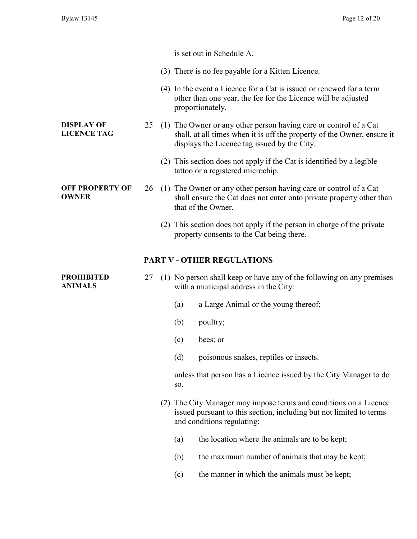|                                         |    | is set out in Schedule A.                                                                                                                                                                    |
|-----------------------------------------|----|----------------------------------------------------------------------------------------------------------------------------------------------------------------------------------------------|
|                                         |    | (3) There is no fee payable for a Kitten Licence.                                                                                                                                            |
|                                         |    | (4) In the event a Licence for a Cat is issued or renewed for a term<br>other than one year, the fee for the Licence will be adjusted<br>proportionately.                                    |
| <b>DISPLAY OF</b><br><b>LICENCE TAG</b> | 25 | (1) The Owner or any other person having care or control of a Cat<br>shall, at all times when it is off the property of the Owner, ensure it<br>displays the Licence tag issued by the City. |
|                                         |    | (2) This section does not apply if the Cat is identified by a legible<br>tattoo or a registered microchip.                                                                                   |
| <b>OFF PROPERTY OF</b><br><b>OWNER</b>  | 26 | (1) The Owner or any other person having care or control of a Cat<br>shall ensure the Cat does not enter onto private property other than<br>that of the Owner.                              |
|                                         |    | (2) This section does not apply if the person in charge of the private<br>property consents to the Cat being there.                                                                          |
|                                         |    | <b>PART V - OTHER REGULATIONS</b>                                                                                                                                                            |
| <b>PROHIBITED</b><br><b>ANIMALS</b>     | 27 | (1) No person shall keep or have any of the following on any premises<br>with a municipal address in the City:                                                                               |
|                                         |    | a Large Animal or the young thereof;<br>(a)                                                                                                                                                  |
|                                         |    | (b)<br>poultry;                                                                                                                                                                              |
|                                         |    | (c)<br>bees; or                                                                                                                                                                              |
|                                         |    | (d)<br>poisonous snakes, reptiles or insects.                                                                                                                                                |
|                                         |    | unless that person has a Licence issued by the City Manager to do<br>SO.                                                                                                                     |
|                                         |    | (2) The City Manager may impose terms and conditions on a Licence<br>issued pursuant to this section, including but not limited to terms<br>and conditions regulating:                       |
|                                         |    | the location where the animals are to be kept;<br>(a)                                                                                                                                        |
|                                         |    | the maximum number of animals that may be kept;<br>(b)                                                                                                                                       |
|                                         |    |                                                                                                                                                                                              |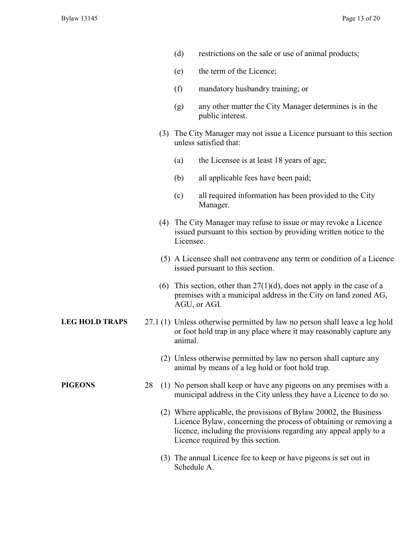| (d) | restrictions on the sale or use of animal products; |  |
|-----|-----------------------------------------------------|--|
|-----|-----------------------------------------------------|--|

- (e) the term of the Licence;
- (f) mandatory husbandry training; or
- (g) any other matter the City Manager determines is in the public interest.
- (3) The City Manager may not issue a Licence pursuant to this section unless satisfied that:
	- (a) the Licensee is at least 18 years of age;
	- (b) all applicable fees have been paid;
	- (c) all required information has been provided to the City Manager.
- (4) The City Manager may refuse to issue or may revoke a Licence issued pursuant to this section by providing written notice to the Licensee.
- (5) A Licensee shall not contravene any term or condition of a Licence issued pursuant to this section.
- (6) This section, other than  $27(1)(d)$ , does not apply in the case of a premises with a municipal address in the City on land zoned AG, AGU, or AGI.
- **LEG HOLD TRAPS** 27.1 (1) Unless otherwise permitted by law no person shall leave a leg hold or foot hold trap in any place where it may reasonably capture any animal.
	- (2) Unless otherwise permitted by law no person shall capture any animal by means of a leg hold or foot hold trap.
- **PIGEONS** 28 (1) No person shall keep or have any pigeons on any premises with a municipal address in the City unless they have a Licence to do so.
	- (2) Where applicable, the provisions of Bylaw 20002, the Business Licence Bylaw, concerning the process of obtaining or removing a licence, including the provisions regarding any appeal apply to a Licence required by this section.
	- (3) The annual Licence fee to keep or have pigeons is set out in Schedule A.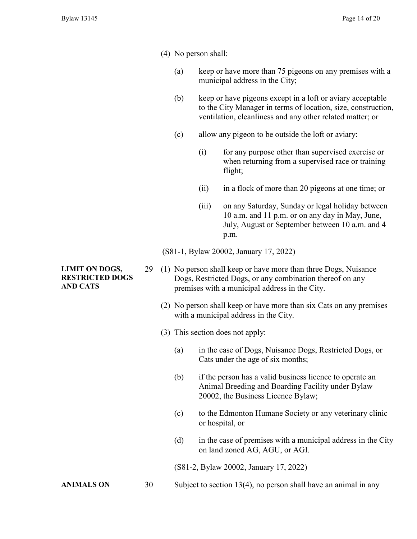- (4) No person shall:
	- (a) keep or have more than 75 pigeons on any premises with a municipal address in the City;
	- (b) keep or have pigeons except in a loft or aviary acceptable to the City Manager in terms of location, size, construction, ventilation, cleanliness and any other related matter; or
	- (c) allow any pigeon to be outside the loft or aviary:
		- (i) for any purpose other than supervised exercise or when returning from a supervised race or training flight;
		- (ii) in a flock of more than 20 pigeons at one time; or
		- (iii) on any Saturday, Sunday or legal holiday between 10 a.m. and 11 p.m. or on any day in May, June, July, August or September between 10 a.m. and 4 p.m.

(S81-1, Bylaw 20002, January 17, 2022)

- 29 (1) No person shall keep or have more than three Dogs, Nuisance Dogs, Restricted Dogs, or any combination thereof on any premises with a municipal address in the City.
	- (2) No person shall keep or have more than six Cats on any premises with a municipal address in the City.
	- (3) This section does not apply:
		- (a) in the case of Dogs, Nuisance Dogs, Restricted Dogs, or Cats under the age of six months;
		- (b) if the person has a valid business licence to operate an Animal Breeding and Boarding Facility under Bylaw 20002, the Business Licence Bylaw;
		- (c) to the Edmonton Humane Society or any veterinary clinic or hospital, or
		- $(d)$  in the case of premises with a municipal address in the City on land zoned AG, AGU, or AGI.

(S81-2, Bylaw 20002, January 17, 2022)

ANIMALS ON 30 Subject to section 13(4), no person shall have an animal in any

#### **LIMIT ON DOGS, RESTRICTED DOGS AND CATS**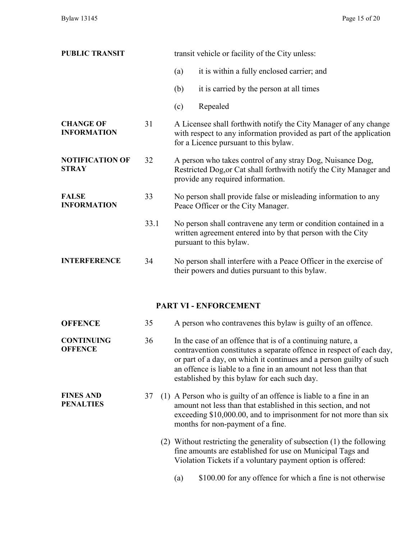| <b>PUBLIC TRANSIT</b>                  |      | transit vehicle or facility of the City unless:                                                                                                                                  |
|----------------------------------------|------|----------------------------------------------------------------------------------------------------------------------------------------------------------------------------------|
|                                        |      | it is within a fully enclosed carrier; and<br>(a)                                                                                                                                |
|                                        |      | it is carried by the person at all times<br>(b)                                                                                                                                  |
|                                        |      | Repealed<br>(c)                                                                                                                                                                  |
| <b>CHANGE OF</b><br><b>INFORMATION</b> | 31   | A Licensee shall forthwith notify the City Manager of any change<br>with respect to any information provided as part of the application<br>for a Licence pursuant to this bylaw. |
| <b>NOTIFICATION OF</b><br>STRAY        | 32   | A person who takes control of any stray Dog, Nuisance Dog,<br>Restricted Dog, or Cat shall forthwith notify the City Manager and<br>provide any required information.            |
| <b>FALSE</b><br><b>INFORMATION</b>     | 33   | No person shall provide false or misleading information to any<br>Peace Officer or the City Manager.                                                                             |
|                                        | 33.1 | No person shall contravene any term or condition contained in a<br>written agreement entered into by that person with the City<br>pursuant to this bylaw.                        |
| <b>INTERFERENCE</b>                    | 34   | No person shall interfere with a Peace Officer in the exercise of<br>their powers and duties pursuant to this bylaw.                                                             |
|                                        |      |                                                                                                                                                                                  |

## **PART VI - ENFORCEMENT**

| <b>OFFENCE</b>                       | 35 | A person who contravenes this bylaw is guilty of an offence.                                                                                                                                                                                                                                                                 |
|--------------------------------------|----|------------------------------------------------------------------------------------------------------------------------------------------------------------------------------------------------------------------------------------------------------------------------------------------------------------------------------|
| <b>CONTINUING</b><br><b>OFFENCE</b>  | 36 | In the case of an offence that is of a continuing nature, a<br>contravention constitutes a separate offence in respect of each day,<br>or part of a day, on which it continues and a person guilty of such<br>an offence is liable to a fine in an amount not less than that<br>established by this bylaw for each such day. |
| <b>FINES AND</b><br><b>PENALTIES</b> | 37 | (1) A Person who is guilty of an offence is liable to a fine in an<br>amount not less than that established in this section, and not<br>exceeding $$10,000.00$ , and to imprisonment for not more than six<br>months for non-payment of a fine.                                                                              |
|                                      |    | (2) Without restricting the generality of subsection (1) the following<br>fine amounts are established for use on Municipal Tags and<br>Violation Tickets if a voluntary payment option is offered:                                                                                                                          |
|                                      |    | \$100.00 for any offence for which a fine is not otherwise<br>(a)                                                                                                                                                                                                                                                            |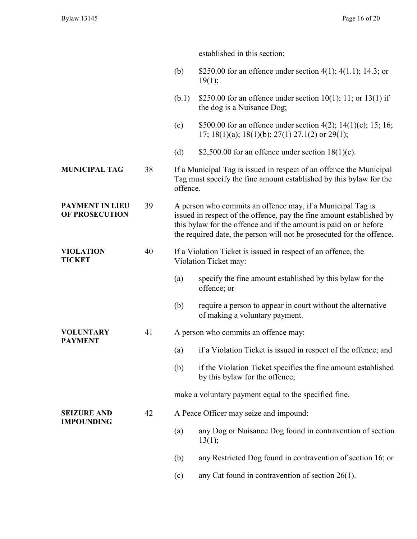established in this section;

|                                          |                             | (b)                                                                                                                                                                                                                                                                              | \$250.00 for an offence under section $4(1)$ ; $4(1.1)$ ; 14.3; or<br>19(1);                                                              |
|------------------------------------------|-----------------------------|----------------------------------------------------------------------------------------------------------------------------------------------------------------------------------------------------------------------------------------------------------------------------------|-------------------------------------------------------------------------------------------------------------------------------------------|
|                                          |                             | (b.1)                                                                                                                                                                                                                                                                            | \$250.00 for an offence under section $10(1)$ ; 11; or 13(1) if<br>the dog is a Nuisance Dog;                                             |
|                                          |                             | (c)                                                                                                                                                                                                                                                                              | \$500.00 for an offence under section 4(2); 14(1)(c); 15; 16;<br>17; 18(1)(a); 18(1)(b); 27(1) 27.1(2) or 29(1);                          |
|                                          |                             | (d)                                                                                                                                                                                                                                                                              | \$2,500.00 for an offence under section $18(1)(c)$ .                                                                                      |
| <b>MUNICIPAL TAG</b>                     | 38                          | offence.                                                                                                                                                                                                                                                                         | If a Municipal Tag is issued in respect of an offence the Municipal<br>Tag must specify the fine amount established by this bylaw for the |
| PAYMENT IN LIEU<br><b>OF PROSECUTION</b> | 39                          | A person who commits an offence may, if a Municipal Tag is<br>issued in respect of the offence, pay the fine amount established by<br>this bylaw for the offence and if the amount is paid on or before<br>the required date, the person will not be prosecuted for the offence. |                                                                                                                                           |
| VIOLATION<br><b>TICKET</b>               | 40<br>Violation Ticket may: |                                                                                                                                                                                                                                                                                  | If a Violation Ticket is issued in respect of an offence, the                                                                             |
|                                          |                             | (a)                                                                                                                                                                                                                                                                              | specify the fine amount established by this bylaw for the<br>offence; or                                                                  |
|                                          |                             | (b)                                                                                                                                                                                                                                                                              | require a person to appear in court without the alternative<br>of making a voluntary payment.                                             |
| VOLUNTARY                                | 41                          |                                                                                                                                                                                                                                                                                  | A person who commits an offence may:                                                                                                      |
| PAYMENT                                  |                             | (a)                                                                                                                                                                                                                                                                              | if a Violation Ticket is issued in respect of the offence; and                                                                            |
|                                          |                             | (b)                                                                                                                                                                                                                                                                              | if the Violation Ticket specifies the fine amount established<br>by this bylaw for the offence;                                           |
|                                          |                             |                                                                                                                                                                                                                                                                                  | make a voluntary payment equal to the specified fine.                                                                                     |
| <b>SEIZURE AND</b>                       | 42                          |                                                                                                                                                                                                                                                                                  | A Peace Officer may seize and impound:                                                                                                    |
| <b>IMPOUNDING</b>                        |                             | (a)                                                                                                                                                                                                                                                                              | any Dog or Nuisance Dog found in contravention of section<br>13(1);                                                                       |
|                                          |                             | (b)                                                                                                                                                                                                                                                                              | any Restricted Dog found in contravention of section 16; or                                                                               |
|                                          |                             | (c)                                                                                                                                                                                                                                                                              | any Cat found in contravention of section $26(1)$ .                                                                                       |
|                                          |                             |                                                                                                                                                                                                                                                                                  |                                                                                                                                           |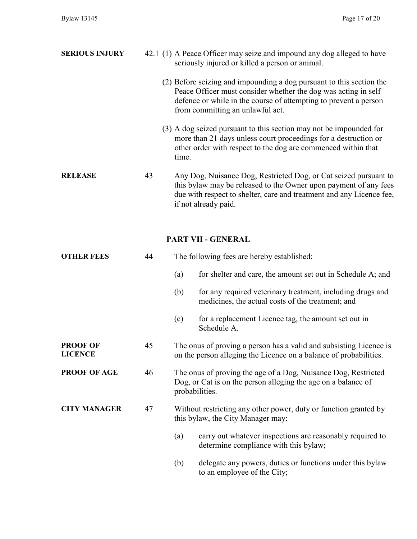| <b>SERIOUS INJURY</b>      |    | seriously injured or killed a person or animal. | 42.1 (1) A Peace Officer may seize and impound any dog alleged to have                                                                                                                                       |
|----------------------------|----|-------------------------------------------------|--------------------------------------------------------------------------------------------------------------------------------------------------------------------------------------------------------------|
|                            |    | from committing an unlawful act.                | (2) Before seizing and impounding a dog pursuant to this section the<br>Peace Officer must consider whether the dog was acting in self<br>defence or while in the course of attempting to prevent a person   |
|                            |    | time.                                           | (3) A dog seized pursuant to this section may not be impounded for<br>more than 21 days unless court proceedings for a destruction or<br>other order with respect to the dog are commenced within that       |
| <b>RELEASE</b>             | 43 | if not already paid.                            | Any Dog, Nuisance Dog, Restricted Dog, or Cat seized pursuant to<br>this bylaw may be released to the Owner upon payment of any fees<br>due with respect to shelter, care and treatment and any Licence fee, |
|                            |    | PART VII - GENERAL                              |                                                                                                                                                                                                              |
| <b>OTHER FEES</b>          | 44 | The following fees are hereby established:      |                                                                                                                                                                                                              |
|                            |    | (a)                                             | for shelter and care, the amount set out in Schedule A; and                                                                                                                                                  |
|                            |    | (b)                                             | for any required veterinary treatment, including drugs and<br>medicines, the actual costs of the treatment; and                                                                                              |
|                            |    | (c)<br>Schedule A.                              | for a replacement Licence tag, the amount set out in                                                                                                                                                         |
| <b>PROOF OF</b><br>LICENCE | 45 |                                                 | The onus of proving a person has a valid and subsisting Licence is<br>on the person alleging the Licence on a halance of probabilities                                                                       |

## **PROOF OF AGE** 46 The onus of proving the age of a Dog, Nuisance Dog, Restricted Dog, or Cat is on the person alleging the age on a balance of probabilities.

### **CITY MANAGER** 47 Without restricting any other power, duty or function granted by this bylaw, the City Manager may:

(a) carry out whatever inspections are reasonably required to determine compliance with this bylaw;

on the person alleging the Licence on a balance of probabilities.

(b) delegate any powers, duties or functions under this bylaw to an employee of the City;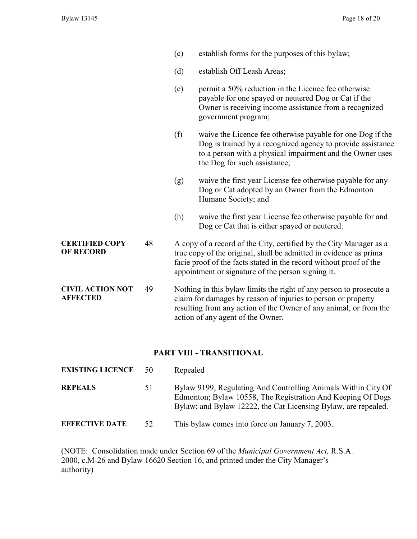- (c) establish forms for the purposes of this bylaw;
- (d) establish Off Leash Areas;
- (e) permit a 50% reduction in the Licence fee otherwise payable for one spayed or neutered Dog or Cat if the Owner is receiving income assistance from a recognized government program;
- (f) waive the Licence fee otherwise payable for one Dog if the Dog is trained by a recognized agency to provide assistance to a person with a physical impairment and the Owner uses the Dog for such assistance;
- (g) waive the first year License fee otherwise payable for any Dog or Cat adopted by an Owner from the Edmonton Humane Society; and
- (h) waive the first year License fee otherwise payable for and Dog or Cat that is either spayed or neutered.
- **CERTIFIED COPY OF RECORD** 48 A copy of a record of the City, certified by the City Manager as a true copy of the original, shall be admitted in evidence as prima facie proof of the facts stated in the record without proof of the appointment or signature of the person signing it.
- **CIVIL ACTION NOT AFFECTED** 49 Nothing in this bylaw limits the right of any person to prosecute a claim for damages by reason of injuries to person or property resulting from any action of the Owner of any animal, or from the action of any agent of the Owner.

#### **PART VIII - TRANSITIONAL**

| <b>EXISTING LICENCE</b> | 50 | Repealed                                                                                                                                                                                       |
|-------------------------|----|------------------------------------------------------------------------------------------------------------------------------------------------------------------------------------------------|
| <b>REPEALS</b>          | 51 | Bylaw 9199, Regulating And Controlling Animals Within City Of<br>Edmonton; Bylaw 10558, The Registration And Keeping Of Dogs<br>Bylaw; and Bylaw 12222, the Cat Licensing Bylaw, are repealed. |
| <b>EFFECTIVE DATE</b>   | 52 | This bylaw comes into force on January 7, 2003.                                                                                                                                                |

(NOTE: Consolidation made under Section 69 of the *Municipal Government Act,* R.S.A. 2000, c.M-26 and Bylaw 16620 Section 16, and printed under the City Manager's authority)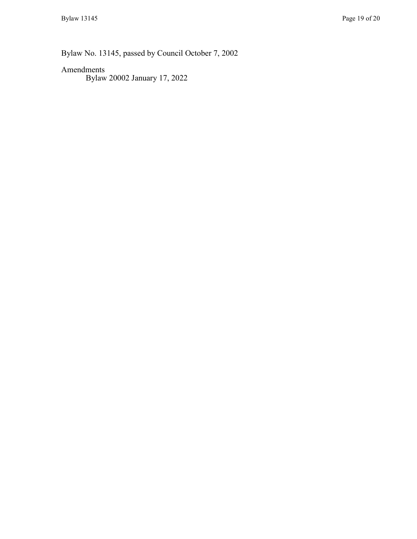Bylaw No. 13145, passed by Council October 7, 2002

## Amendments

Bylaw 20002 January 17, 2022